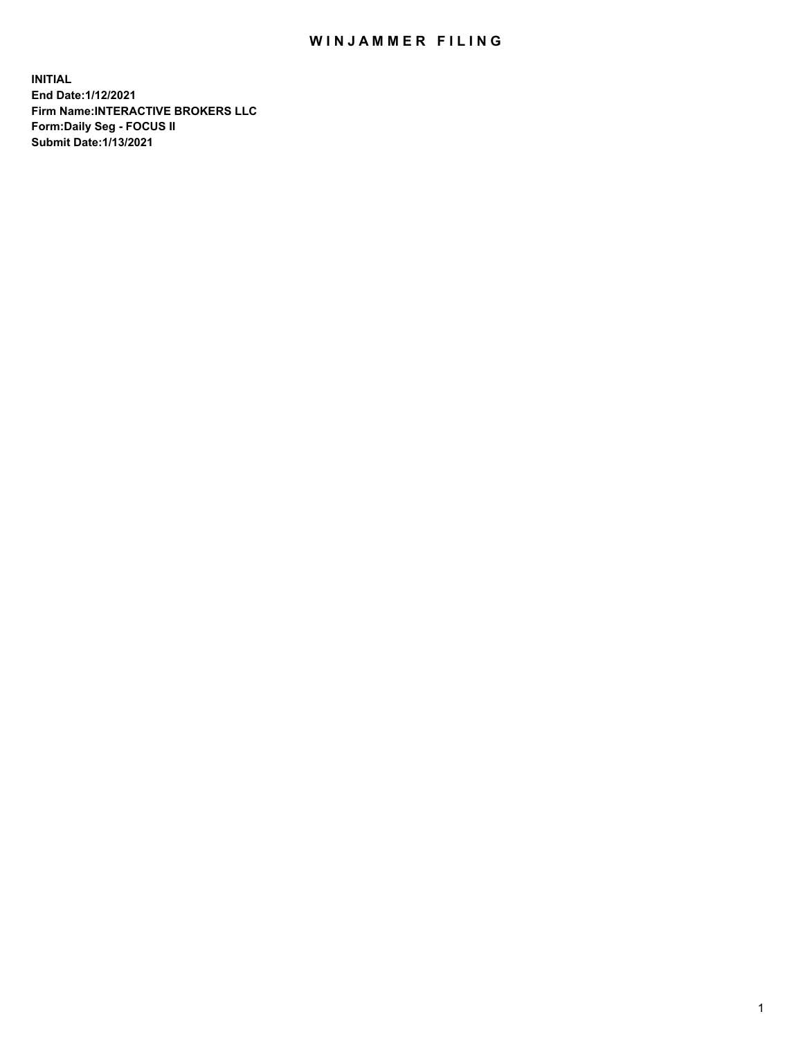## WIN JAMMER FILING

**INITIAL End Date:1/12/2021 Firm Name:INTERACTIVE BROKERS LLC Form:Daily Seg - FOCUS II Submit Date:1/13/2021**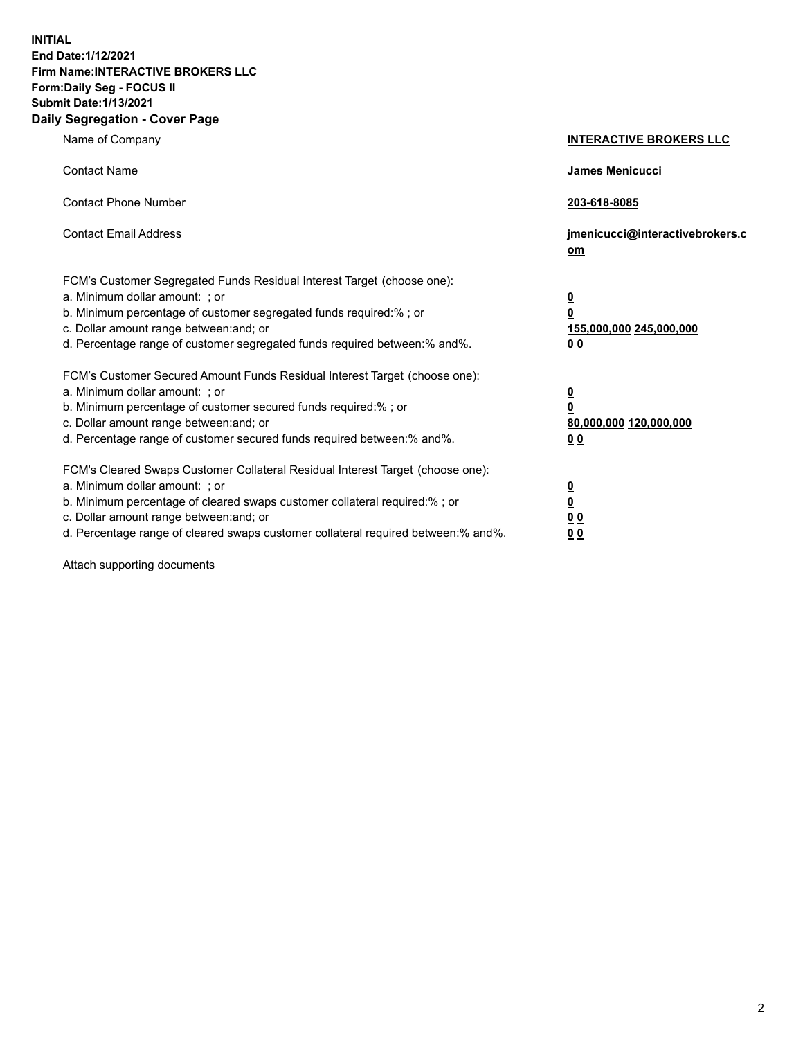**INITIAL End Date:1/12/2021 Firm Name:INTERACTIVE BROKERS LLC Form:Daily Seg - FOCUS II Submit Date:1/13/2021 Daily Segregation - Cover Page**

| Name of Company                                                                                                                                                                                                                                                                                                                | <b>INTERACTIVE BROKERS LLC</b>                                                            |
|--------------------------------------------------------------------------------------------------------------------------------------------------------------------------------------------------------------------------------------------------------------------------------------------------------------------------------|-------------------------------------------------------------------------------------------|
| <b>Contact Name</b>                                                                                                                                                                                                                                                                                                            | James Menicucci                                                                           |
| <b>Contact Phone Number</b>                                                                                                                                                                                                                                                                                                    | 203-618-8085                                                                              |
| <b>Contact Email Address</b>                                                                                                                                                                                                                                                                                                   | jmenicucci@interactivebrokers.c<br>om                                                     |
| FCM's Customer Segregated Funds Residual Interest Target (choose one):<br>a. Minimum dollar amount: ; or<br>b. Minimum percentage of customer segregated funds required:% ; or<br>c. Dollar amount range between: and; or<br>d. Percentage range of customer segregated funds required between:% and%.                         | <u>0</u><br>$\overline{\mathbf{0}}$<br>155,000,000 245,000,000<br>0 <sub>0</sub>          |
| FCM's Customer Secured Amount Funds Residual Interest Target (choose one):<br>a. Minimum dollar amount: ; or<br>b. Minimum percentage of customer secured funds required:% ; or<br>c. Dollar amount range between: and; or<br>d. Percentage range of customer secured funds required between:% and%.                           | $\overline{\mathbf{0}}$<br>$\overline{\mathbf{0}}$<br>80,000,000 120,000,000<br><u>00</u> |
| FCM's Cleared Swaps Customer Collateral Residual Interest Target (choose one):<br>a. Minimum dollar amount: ; or<br>b. Minimum percentage of cleared swaps customer collateral required:% ; or<br>c. Dollar amount range between: and; or<br>d. Percentage range of cleared swaps customer collateral required between:% and%. | $\frac{0}{0}$<br>$\underline{0}$ $\underline{0}$<br>0 <sub>0</sub>                        |

Attach supporting documents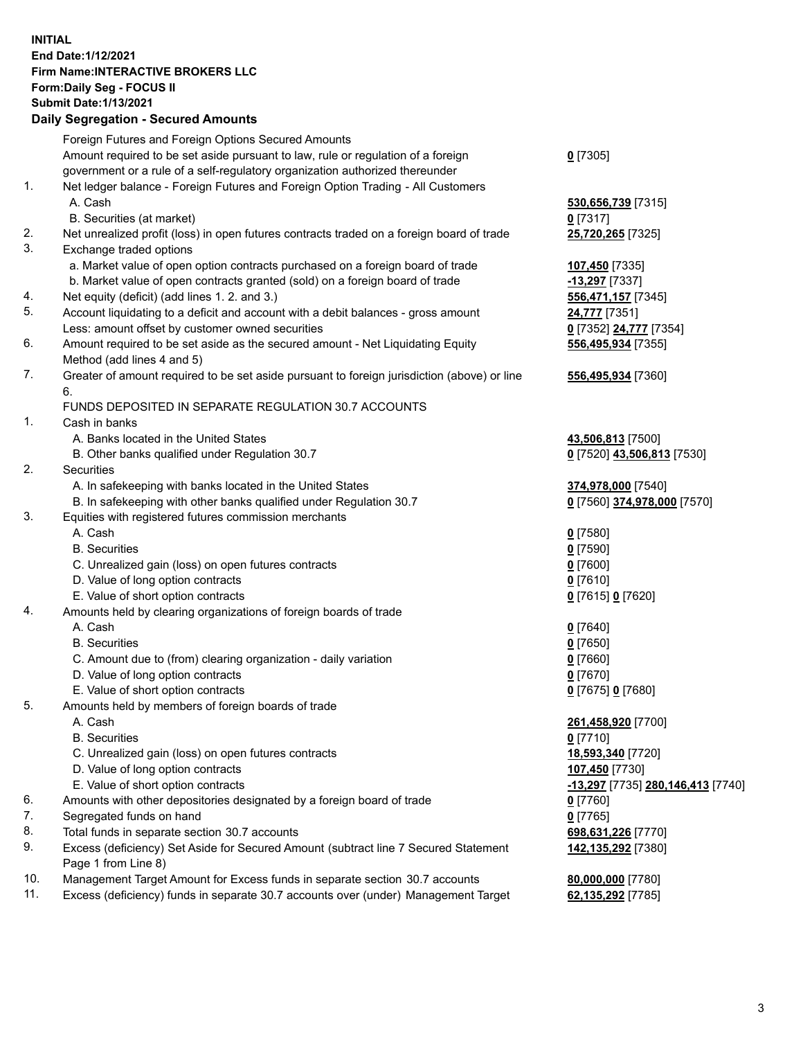**INITIAL End Date:1/12/2021 Firm Name:INTERACTIVE BROKERS LLC Form:Daily Seg - FOCUS II Submit Date:1/13/2021 Daily Segregation - Secured Amounts**

## Foreign Futures and Foreign Options Secured Amounts Amount required to be set aside pursuant to law, rule or regulation of a foreign government or a rule of a self-regulatory organization authorized thereunder **0** [7305] 1. Net ledger balance - Foreign Futures and Foreign Option Trading - All Customers A. Cash **530,656,739** [7315] B. Securities (at market) **0** [7317] 2. Net unrealized profit (loss) in open futures contracts traded on a foreign board of trade **25,720,265** [7325] 3. Exchange traded options a. Market value of open option contracts purchased on a foreign board of trade **107,450** [7335] b. Market value of open contracts granted (sold) on a foreign board of trade **-13,297** [7337] 4. Net equity (deficit) (add lines 1. 2. and 3.) **556,471,157** [7345] 5. Account liquidating to a deficit and account with a debit balances - gross amount **24,777** [7351] Less: amount offset by customer owned securities **0** [7352] **24,777** [7354] 6. Amount required to be set aside as the secured amount - Net Liquidating Equity Method (add lines 4 and 5) **556,495,934** [7355] 7. Greater of amount required to be set aside pursuant to foreign jurisdiction (above) or line 6. **556,495,934** [7360] FUNDS DEPOSITED IN SEPARATE REGULATION 30.7 ACCOUNTS 1. Cash in banks A. Banks located in the United States **43,506,813** [7500] B. Other banks qualified under Regulation 30.7 **0** [7520] **43,506,813** [7530] 2. Securities A. In safekeeping with banks located in the United States **374,978,000** [7540] B. In safekeeping with other banks qualified under Regulation 30.7 **0** [7560] **374,978,000** [7570] 3. Equities with registered futures commission merchants A. Cash **0** [7580] B. Securities **0** [7590] C. Unrealized gain (loss) on open futures contracts **0** [7600] D. Value of long option contracts **0** [7610] E. Value of short option contracts **0** [7615] **0** [7620] 4. Amounts held by clearing organizations of foreign boards of trade A. Cash **0** [7640] B. Securities **0** [7650] C. Amount due to (from) clearing organization - daily variation **0** [7660] D. Value of long option contracts **0** [7670] E. Value of short option contracts **0** [7675] **0** [7680] 5. Amounts held by members of foreign boards of trade A. Cash **261,458,920** [7700] B. Securities **0** [7710] C. Unrealized gain (loss) on open futures contracts **18,593,340** [7720] D. Value of long option contracts **107,450** [7730] E. Value of short option contracts **-13,297** [7735] **280,146,413** [7740] 6. Amounts with other depositories designated by a foreign board of trade **0** [7760] 7. Segregated funds on hand **0** [7765] 8. Total funds in separate section 30.7 accounts **698,631,226** [7770] 9. Excess (deficiency) Set Aside for Secured Amount (subtract line 7 Secured Statement Page 1 from Line 8) **142,135,292** [7380] 10. Management Target Amount for Excess funds in separate section 30.7 accounts **80,000,000** [7780] 11. Excess (deficiency) funds in separate 30.7 accounts over (under) Management Target **62,135,292** [7785]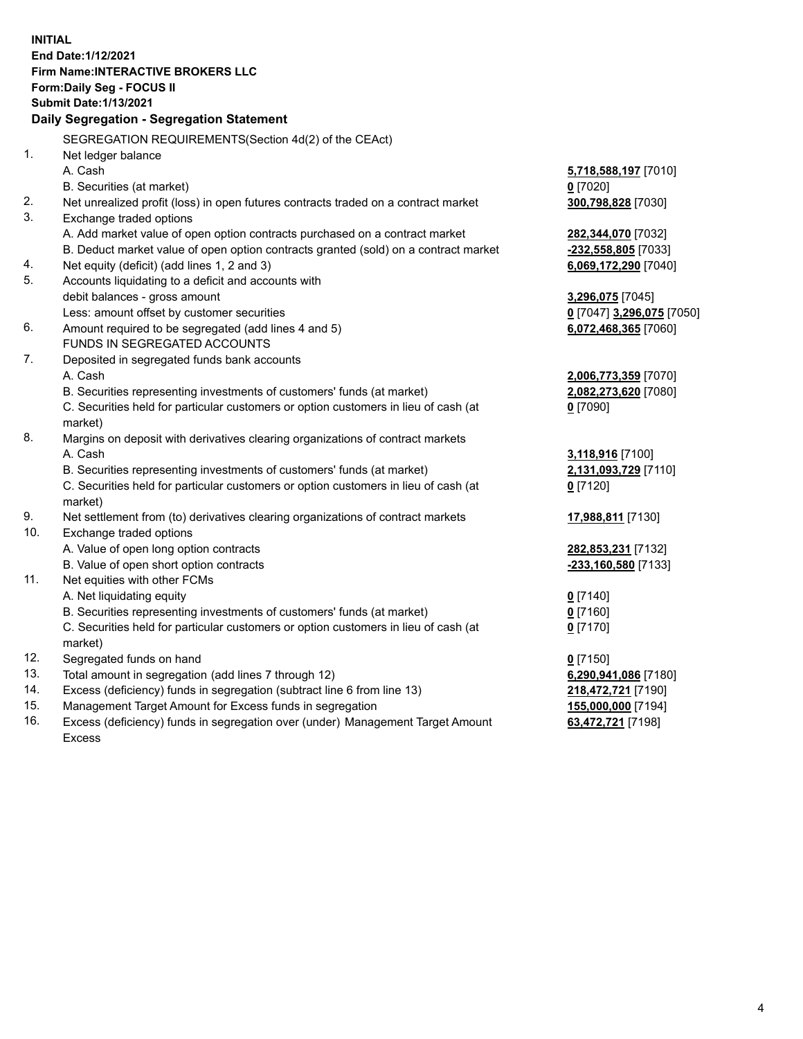**INITIAL End Date:1/12/2021 Firm Name:INTERACTIVE BROKERS LLC Form:Daily Seg - FOCUS II Submit Date:1/13/2021 Daily Segregation - Segregation Statement** SEGREGATION REQUIREMENTS(Section 4d(2) of the CEAct) 1. Net ledger balance A. Cash **5,718,588,197** [7010] B. Securities (at market) **0** [7020] 2. Net unrealized profit (loss) in open futures contracts traded on a contract market **300,798,828** [7030] 3. Exchange traded options A. Add market value of open option contracts purchased on a contract market **282,344,070** [7032] B. Deduct market value of open option contracts granted (sold) on a contract market **-232,558,805** [7033] 4. Net equity (deficit) (add lines 1, 2 and 3) **6,069,172,290** [7040] 5. Accounts liquidating to a deficit and accounts with debit balances - gross amount **3,296,075** [7045] Less: amount offset by customer securities **0** [7047] **3,296,075** [7050] 6. Amount required to be segregated (add lines 4 and 5) **6,072,468,365** [7060] FUNDS IN SEGREGATED ACCOUNTS 7. Deposited in segregated funds bank accounts A. Cash **2,006,773,359** [7070] B. Securities representing investments of customers' funds (at market) **2,082,273,620** [7080] C. Securities held for particular customers or option customers in lieu of cash (at market) **0** [7090] 8. Margins on deposit with derivatives clearing organizations of contract markets A. Cash **3,118,916** [7100] B. Securities representing investments of customers' funds (at market) **2,131,093,729** [7110] C. Securities held for particular customers or option customers in lieu of cash (at market) **0** [7120] 9. Net settlement from (to) derivatives clearing organizations of contract markets **17,988,811** [7130] 10. Exchange traded options A. Value of open long option contracts **282,853,231** [7132] B. Value of open short option contracts **-233,160,580** [7133] 11. Net equities with other FCMs A. Net liquidating equity **0** [7140] B. Securities representing investments of customers' funds (at market) **0** [7160] C. Securities held for particular customers or option customers in lieu of cash (at market) **0** [7170] 12. Segregated funds on hand **0** [7150] 13. Total amount in segregation (add lines 7 through 12) **6,290,941,086** [7180] 14. Excess (deficiency) funds in segregation (subtract line 6 from line 13) **218,472,721** [7190] 15. Management Target Amount for Excess funds in segregation **155,000,000** [7194] 16. Excess (deficiency) funds in segregation over (under) Management Target Amount **63,472,721** [7198]

Excess